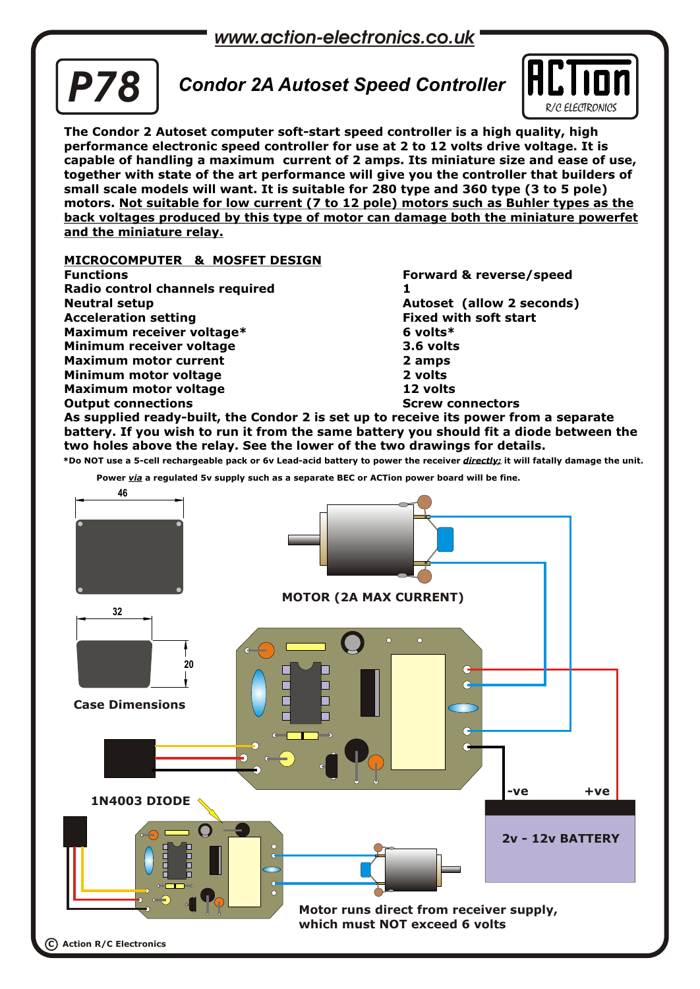*www.action-electronics.co.uk*



# *Condor 2A Autoset Speed Controller P78*



**The Condor 2 Autoset computer soft-start speed controller is a high quality, high performance electronic speed controller for use at 2 to 12 volts drive voltage. It is capable of handling a maximum current of 2 amps. Its miniature size and ease of use, together with state of the art performance will give you the controller that builders of small scale models will want. It is suitable for 280 type and 360 type (3 to 5 pole) motors. Not suitable for low current (7 to 12 pole) motors such as Buhler types as the back voltages produced by this type of motor can damage both the miniature powerfet and the miniature relay.**

### **MICROCOMPUTER & MOSFET DESIGN**

**Functions Forward & reverse/speed Radio control channels required 1 Neutral setup Autoset (allow 2 seconds) Acceleration setting Fixed with soft start Maximum receiver voltage\* 6 volts\* Minimum receiver voltage 3.6 volts Maximum motor current 2 amps Minimum motor voltage 2 volts Maximum motor voltage 12 volts Output connections Screw connectors Screw connectors** 

**As supplied ready-built, the Condor 2 is set up to receive its power from a separate battery. If you wish to run it from the same battery you should fit a diode between the two holes above the relay. See the lower of the two drawings for details.**

**\*Do NOT use a 5-cell rechargeable pack or 6v Lead-acid battery to power the receiver** *directly;* **it will fatally damage the unit.** 

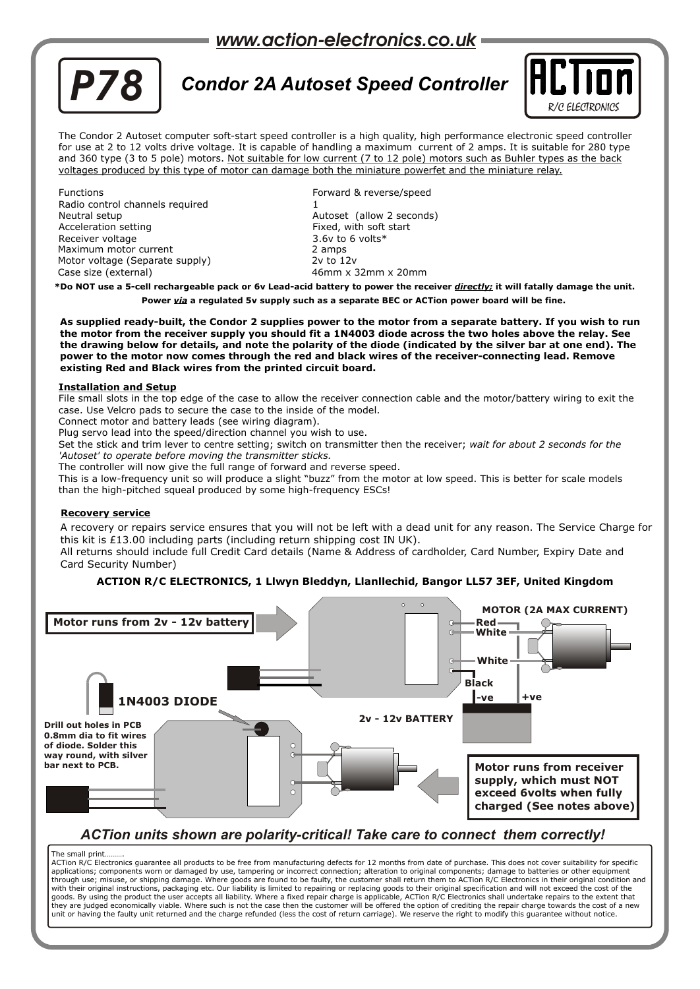

# *Condor 2A Autoset Speed Controller P78*



The Condor 2 Autoset computer soft-start speed controller is a high quality, high performance electronic speed controller for use at 2 to 12 volts drive voltage. It is capable of handling a maximum current of 2 amps. It is suitable for 280 type and 360 type (3 to 5 pole) motors. Not suitable for low current (7 to 12 pole) motors such as Buhler types as the back voltages produced by this type of motor can damage both the miniature powerfet and the miniature relay.

Functions Forward & reverse/speed Radio control channels required Neutral setup **Automakia Setup Autoset (allow 2 seconds)** Autoset (allow 2 seconds) Acceleration setting Fixed, with soft start Receiver voltage 3.6v to 6 volts\* Maximum motor current 2 amps<br>
Motor voltage (Separate supply) 2v to 12v Motor voltage (Separate supply) Case size (external) 46mm x 32mm x 20mm

**\*Do NOT use a 5-cell rechargeable pack or 6v Lead-acid battery to power the receiver** *directly;* **it will fatally damage the unit. Power** *via* **a regulated 5v supply such as a separate BEC or ACTion power board will be fine.**

**As supplied ready-built, the Condor 2 supplies power to the motor from a separate battery. If you wish to run the motor from the receiver supply you should fit a 1N4003 diode across the two holes above the relay. See the drawing below for details, and note the polarity of the diode (indicated by the silver bar at one end). The power to the motor now comes through the red and black wires of the receiver-connecting lead. Remove existing Red and Black wires from the printed circuit board.**

### **Installation and Setup**

File small slots in the top edge of the case to allow the receiver connection cable and the motor/battery wiring to exit the case. Use Velcro pads to secure the case to the inside of the model.

Connect motor and battery leads (see wiring diagram).

Plug servo lead into the speed/direction channel you wish to use.

Set the stick and trim lever to centre setting; switch on transmitter then the receiver; *wait for about 2 seconds for the 'Autoset' to operate before moving the transmitter sticks.*

The controller will now give the full range of forward and reverse speed.

This is a low-frequency unit so will produce a slight "buzz" from the motor at low speed. This is better for scale models than the high-pitched squeal produced by some high-frequency ESCs!

### **Recovery service**

A recovery or repairs service ensures that you will not be left with a dead unit for any reason. The Service Charge for this kit is £13.00 including parts (including return shipping cost IN UK).

All returns should include full Credit Card details (Name & Address of cardholder, Card Number, Expiry Date and Card Security Number)

### **ACTION R/C ELECTRONICS, 1 Llwyn Bleddyn, Llanllechid, Bangor LL57 3EF, United Kingdom**



### *ACTion units shown are polarity-critical! Take care to connect them correctly!*

#### The small print……….

ACTion R/C Electronics guarantee all products to be free from manufacturing defects for 12 months from date of purchase. This does not cover suitability for specific<br>applications; components worn or damaged by use, tamperi through use; misuse, or shipping damage. Where goods are found to be faulty, the customer shall return them to ACTion R/C Electronics in their original condition and with their original instructions, packaging etc. Our liability is limited to repairing or replacing goods to their original specification and will not exceed the cost of the<br>goods. By using the product the user accepts all unit or having the faulty unit returned and the charge refunded (less the cost of return carriage). We reserve the right to modify this guarantee without notice.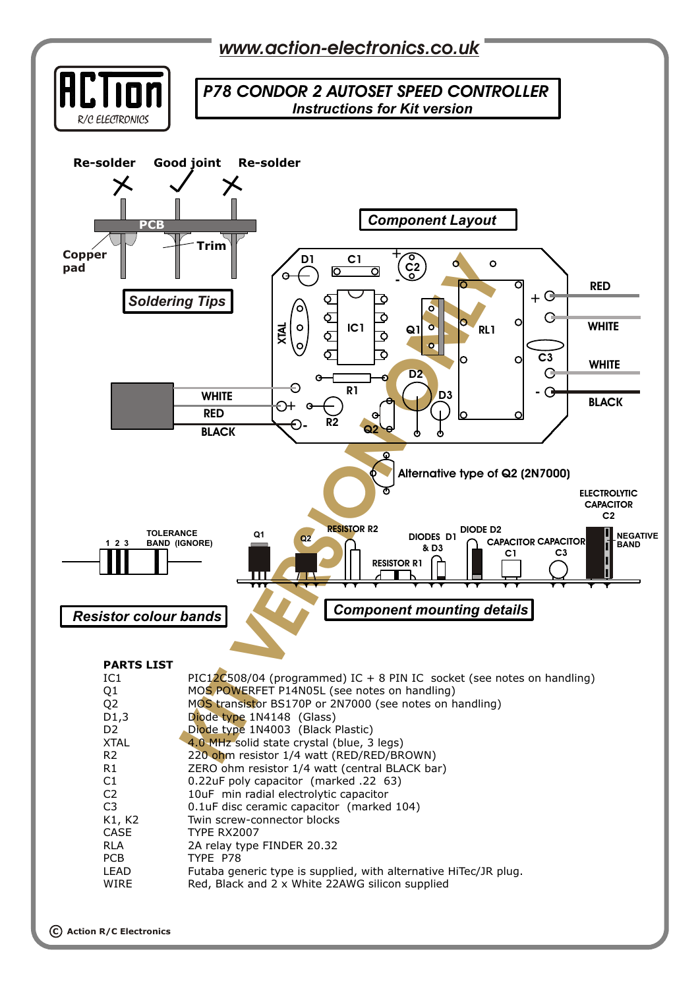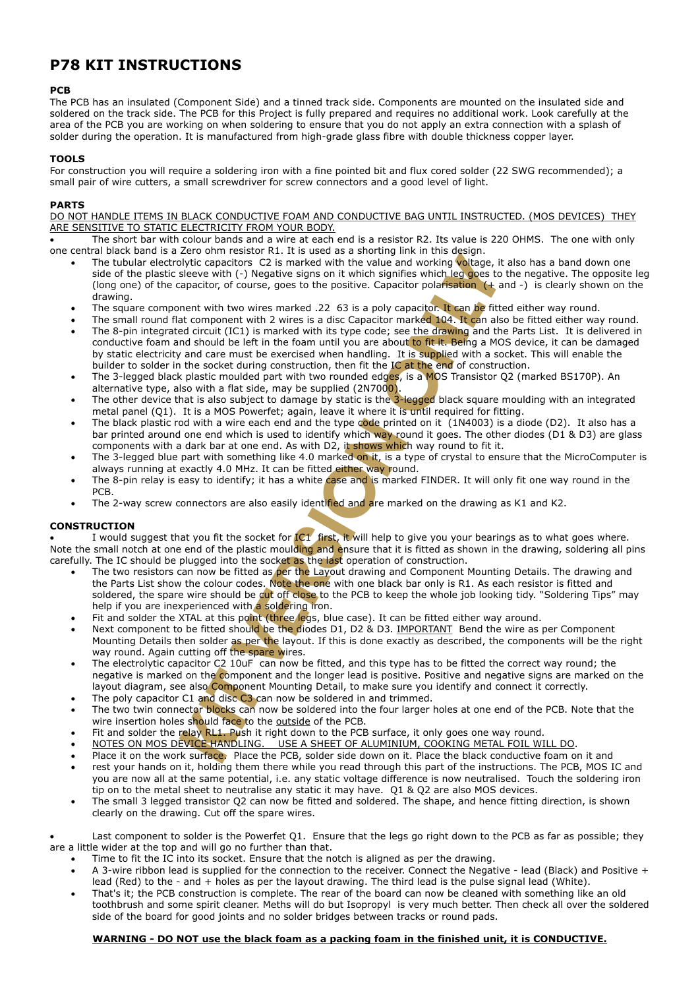### **P78 KIT INSTRUCTIONS**

### **PCB**

The PCB has an insulated (Component Side) and a tinned track side. Components are mounted on the insulated side and soldered on the track side. The PCB for this Project is fully prepared and requires no additional work. Look carefully at the area of the PCB you are working on when soldering to ensure that you do not apply an extra connection with a splash of solder during the operation. It is manufactured from high-grade glass fibre with double thickness copper layer.

### **TOOLS**

For construction you will require a soldering iron with a fine pointed bit and flux cored solder (22 SWG recommended); a small pair of wire cutters, a small screwdriver for screw connectors and a good level of light.

### **PARTS**

DO NOT HANDLE ITEMS IN BLACK CONDUCTIVE FOAM AND CONDUCTIVE BAG UNTIL INSTRUCTED. (MOS DEVICES) THEY ARE SENSITIVE TO STATIC ELECTRICITY FROM YOUR BODY.

 The short bar with colour bands and a wire at each end is a resistor R2. Its value is 220 OHMS. The one with only one central black band is a Zero ohm resistor R1. It is used as a shorting link in this design.

- The tubular electrolytic capacitors C2 is marked with the value and working voltage, it also has a band down one side of the plastic sleeve with (-) Negative signs on it which signifies which leg goes to the negative. The opposite leg (long one) of the capacitor, of course, goes to the positive. Capacitor polarisation  $(+)$  and  $-)$  is clearly shown on the drawing.
- The square component with two wires marked .22 63 is a poly capacitor. It can be fitted either way round.
- The small round flat component with 2 wires is a disc Capacitor marked 104. It can also be fitted either way round.
- The 8-pin integrated circuit (IC1) is marked with its type code; see the drawing and the Parts List. It is delivered in conductive foam and should be left in the foam until you are about to fit it. Being a MOS device, it can be damaged by static electricity and care must be exercised when handling. It is supplied with a socket. This will enable the builder to solder in the socket during construction, then fit the IC at the end of construction.
- The 3-legged black plastic moulded part with two rounded edges, is a MOS Transistor Q2 (marked BS170P). An alternative type, also with a flat side, may be supplied (2N7000).
- The other device that is also subject to damage by static is the 3-legged black square moulding with an integrated metal panel (Q1). It is a MOS Powerfet; again, leave it where it is until required for fitting.
- The black plastic rod with a wire each end and the type code printed on it  $(1N4003)$  is a diode (D2). It also has a bar printed around one end which is used to identify which way round it goes. The other diodes (D1 & D3) are glass components with a dark bar at one end. As with D2, it shows which way round to fit it.
- The 3-legged blue part with something like 4.0 marked on it, is a type of crystal to ensure that the MicroComputer is always running at exactly 4.0 MHz. It can be fitted either way round.
- The 8-pin relay is easy to identify; it has a white case and is marked FINDER. It will only fit one way round in the PCB.
- The 2-way screw connectors are also easily identified and are marked on the drawing as K1 and K2.

### **CONSTRUCTION**

I would suggest that you fit the socket for  $IC1$  first, it will help to give you your bearings as to what goes where. Note the small notch at one end of the plastic moulding and ensure that it is fitted as shown in the drawing, soldering all pins carefully. The IC should be plugged into the socket as the last operation of construction.

- Let of this state of the state as a smoling minit unit unit of the state as a smoling that consider that the state we with (a) Nyitic capacitors C2 is marked with the value and working **Voltes** it alselese with (a) Nyitic The two resistors can now be fitted as per the Layout drawing and Component Mounting Details. The drawing and the Parts List show the colour codes. Note the one with one black bar only is R1. As each resistor is fitted and soldered, the spare wire should be cut off close to the PCB to keep the whole job looking tidy. "Soldering Tips" may help if you are inexperienced with a soldering iron.
- Fit and solder the XTAL at this point (three legs, blue case). It can be fitted either way around.
- Next component to be fitted should be the diodes D1, D2 & D3. IMPORTANT Bend the wire as per Component Mounting Details then solder as per the layout. If this is done exactly as described, the components will be the right way round. Again cutting off the spare wires.
- The electrolytic capacitor C2 10uF can now be fitted, and this type has to be fitted the correct way round; the negative is marked on the component and the longer lead is positive. Positive and negative signs are marked on the layout diagram, see also Component Mounting Detail, to make sure you identify and connect it correctly.
- The poly capacitor C1 and disc C3 can now be soldered in and trimmed.
- The two twin connector blocks can now be soldered into the four larger holes at one end of the PCB. Note that the wire insertion holes should face to the outside of the PCB.
- Fit and solder the relay RL1. Push it right down to the PCB surface, it only goes one way round.
- NOTES ON MOS DEVICE HANDLING. USE A SHEET OF ALUMINIUM, COOKING METAL FOIL WILL DO.
- Place it on the work surface. Place the PCB, solder side down on it. Place the black conductive foam on it and rest your hands on it, holding them there while you read through this part of the instructions. The PCB, MOS IC and you are now all at the same potential, i.e. any static voltage difference is now neutralised. Touch the soldering iron tip on to the metal sheet to neutralise any static it may have. Q1 & Q2 are also MOS devices.
- The small 3 legged transistor Q2 can now be fitted and soldered. The shape, and hence fitting direction, is shown clearly on the drawing. Cut off the spare wires.

 Last component to solder is the Powerfet Q1. Ensure that the legs go right down to the PCB as far as possible; they are a little wider at the top and will go no further than that.

- Time to fit the IC into its socket. Ensure that the notch is aligned as per the drawing.
- A 3-wire ribbon lead is supplied for the connection to the receiver. Connect the Negative lead (Black) and Positive + lead (Red) to the - and + holes as per the layout drawing. The third lead is the pulse signal lead (White).
- That's it; the PCB construction is complete. The rear of the board can now be cleaned with something like an old toothbrush and some spirit cleaner. Meths will do but Isopropyl is very much better. Then check all over the soldered side of the board for good joints and no solder bridges between tracks or round pads.

### **WARNING - DO NOT use the black foam as a packing foam in the finished unit, it is CONDUCTIVE.**